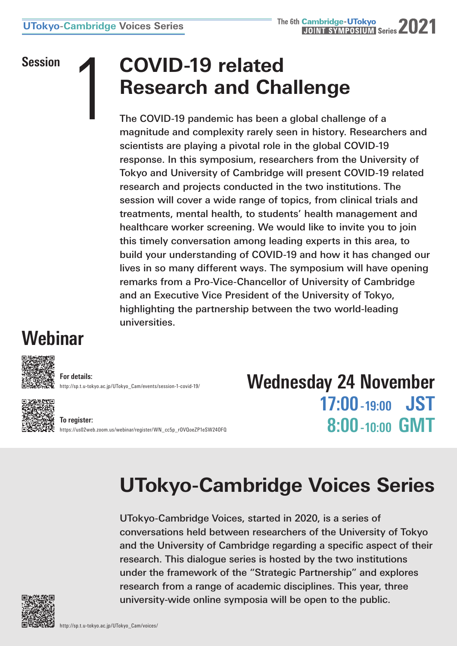# Session **COVID-19 related**<br> **Research and Cha**<br>
The COVID-19 pandemic has been a<br>
magnitude and complexity rarely see **Research and Challenge**

The COVID-19 pandemic has been a global challenge of a magnitude and complexity rarely seen in history. Researchers and scientists are playing a pivotal role in the global COVID-19 response. In this symposium, researchers from the University of Tokyo and University of Cambridge will present COVID-19 related research and projects conducted in the two institutions. The session will cover a wide range of topics, from clinical trials and treatments, mental health, to students' health management and healthcare worker screening. We would like to invite you to join this timely conversation among leading experts in this area, to build your understanding of COVID-19 and how it has changed our lives in so many different ways. The symposium will have opening remarks from a Pro-Vice-Chancellor of University of Cambridge and an Executive Vice President of the University of Tokyo, highlighting the partnership between the two world-leading universities.

### **Webinar**



**For details:** [http://sp.t.u-tokyo.ac.jp/UTokyo\\_Cam/events/session-1-covid-19/](http://sp.t.u-tokyo.ac.jp/UTokyo_Cam/events/session-1-covid-19/)

**To register:** [https://us02web.zoom.us/webinar/register/WN\\_cc5p\\_rOVQoeZP1eSW24OFQ](https://us02web.zoom.us/webinar/register/WN_cc5p_rOVQoeZP1eSW24OFQ) **Wednesday 24 November 17:00 -19:00 JST 8:00 -10:00 GMT**

## **UTokyo-Cambridge Voices Series**

UTokyo-Cambridge Voices, started in 2020, is a series of conversations held between researchers of the University of Tokyo and the University of Cambridge regarding a specific aspect of their research. This dialogue series is hosted by the two institutions under the framework of the "Strategic Partnership" and explores research from a range of academic disciplines. This year, three university-wide online symposia will be open to the public.